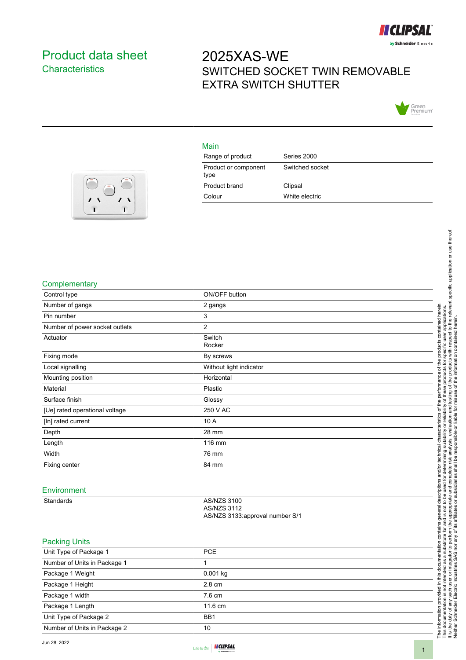

## <span id="page-0-0"></span>Product data sheet **Characteristics**

# 2025XAS-WE SWITCHED SOCKET TWIN REMOVABLE EXTRA SWITCH SHUTTER



#### Main

| Range of product             | Series 2000     |
|------------------------------|-----------------|
| Product or component<br>type | Switched socket |
| Product brand                | Clipsal         |
| Colour                       | White electric  |



#### **Complementary**

| Control type                   | ON/OFF button                                  |
|--------------------------------|------------------------------------------------|
| Number of gangs                | 2 gangs                                        |
| Pin number                     | 3                                              |
| Number of power socket outlets | $\overline{2}$                                 |
| Actuator                       | Switch<br>Rocker                               |
| Fixing mode                    | By screws                                      |
| Local signalling               | Without light indicator                        |
| Mounting position              | Horizontal                                     |
| Material                       | Plastic                                        |
| Surface finish                 | Glossy                                         |
| [Ue] rated operational voltage | 250 V AC                                       |
| [In] rated current             | 10 A                                           |
| Depth                          | 28 mm                                          |
| Length                         | 116 mm                                         |
| Width                          | 76 mm                                          |
| Fixing center                  | 84 mm                                          |
| Environment                    |                                                |
| Standards                      | AS/NZS 3100                                    |
|                                | AS/NZS 3112<br>AS/NZS 3133:approval number S/1 |
| <b>Packing Units</b>           |                                                |
| Unit Type of Package 1         | PCE                                            |
| Number of Units in Package 1   | $\mathbf{1}$                                   |
| Package 1 Weight               | 0.001 kg                                       |
| Package 1 Height               | 2.8 cm                                         |
| Package 1 width                | 7.6 cm                                         |
| Package 1 Length               | 11.6 cm                                        |
| Unit Type of Package 2         | BB1                                            |
| Number of Units in Package 2   | 10                                             |

Neither Schneider Electric Industries SAS nor any of its affiliates or subsidiaries shall be responsible or liable for misuse of the information contained herein.